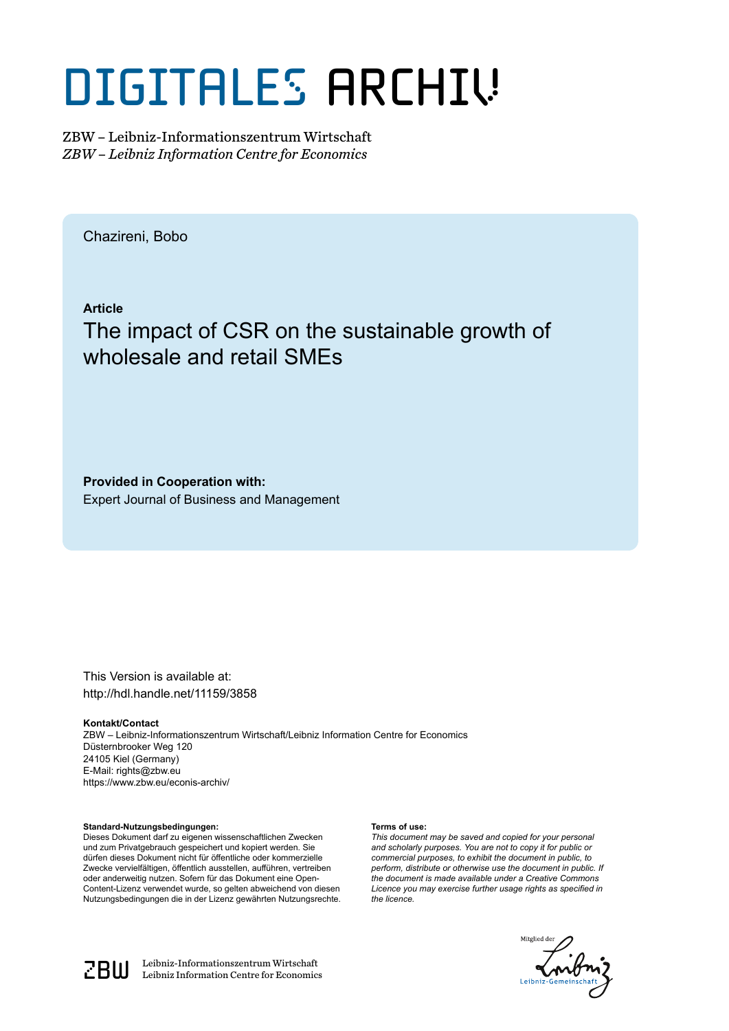# DIGITALES ARCHIV

ZBW – Leibniz-Informationszentrum Wirtschaft *ZBW – Leibniz Information Centre for Economics*

Chazireni, Bobo

**Article**

# The impact of CSR on the sustainable growth of wholesale and retail SMEs

**Provided in Cooperation with:** Expert Journal of Business and Management

This Version is available at: http://hdl.handle.net/11159/3858

**Kontakt/Contact**

ZBW – Leibniz-Informationszentrum Wirtschaft/Leibniz Information Centre for Economics Düsternbrooker Weg 120 24105 Kiel (Germany) E-Mail: rights@zbw.eu https://www.zbw.eu/econis-archiv/

**Standard-Nutzungsbedingungen:**

Dieses Dokument darf zu eigenen wissenschaftlichen Zwecken und zum Privatgebrauch gespeichert und kopiert werden. Sie dürfen dieses Dokument nicht für öffentliche oder kommerzielle Zwecke vervielfältigen, öffentlich ausstellen, aufführen, vertreiben oder anderweitig nutzen. Sofern für das Dokument eine Open-Content-Lizenz verwendet wurde, so gelten abweichend von diesen Nutzungsbedingungen die in der Lizenz gewährten Nutzungsrechte.

#### **Terms of use:**

*This document may be saved and copied for your personal and scholarly purposes. You are not to copy it for public or commercial purposes, to exhibit the document in public, to perform, distribute or otherwise use the document in public. If the document is made available under a Creative Commons Licence you may exercise further usage rights as specified in the licence.*





 $\mathbb{Z} \text{B} \text{U}$  Leibniz-Informationszentrum Wirtschaft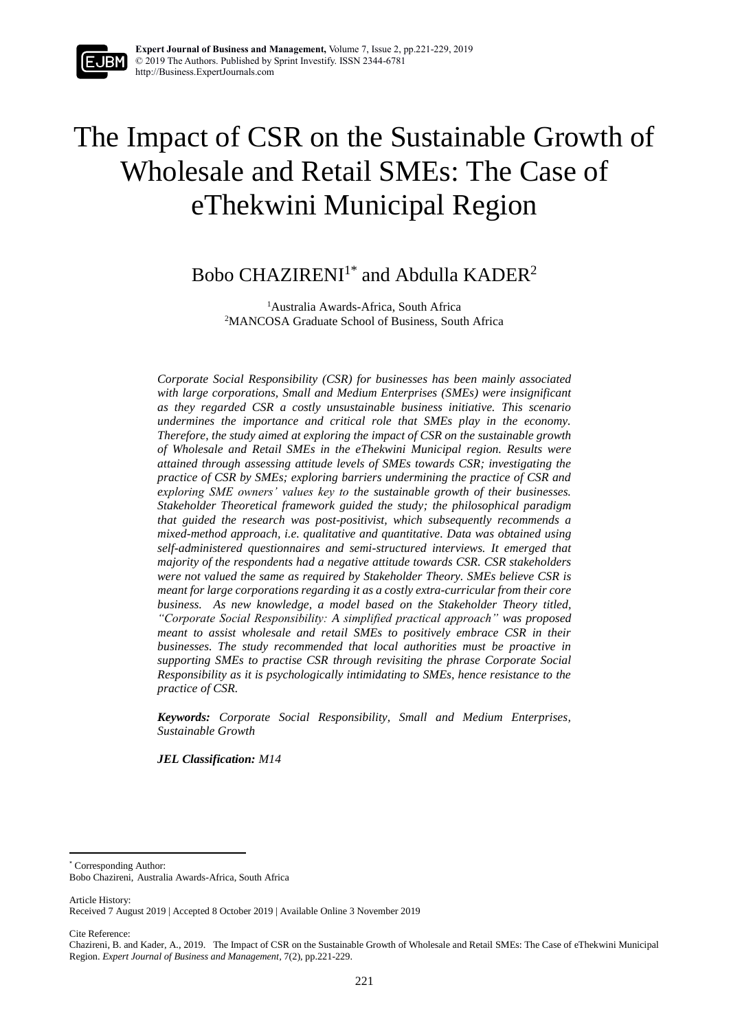

# The Impact of CSR on the Sustainable Growth of Wholesale and Retail SMEs: The Case of eThekwini Municipal Region

# Bobo CHAZIRENI<sup>1\*</sup> and Abdulla KADER<sup>2</sup>

<sup>1</sup>Australia Awards-Africa, South Africa <sup>2</sup>MANCOSA Graduate School of Business, South Africa

*Corporate Social Responsibility (CSR) for businesses has been mainly associated with large corporations, Small and Medium Enterprises (SMEs) were insignificant as they regarded CSR a costly unsustainable business initiative. This scenario undermines the importance and critical role that SMEs play in the economy. Therefore, the study aimed at exploring the impact of CSR on the sustainable growth of Wholesale and Retail SMEs in the eThekwini Municipal region. Results were attained through assessing attitude levels of SMEs towards CSR; investigating the practice of CSR by SMEs; exploring barriers undermining the practice of CSR and exploring SME owners' values key to the sustainable growth of their businesses. Stakeholder Theoretical framework guided the study; the philosophical paradigm that guided the research was post-positivist, which subsequently recommends a mixed-method approach, i.e. qualitative and quantitative. Data was obtained using self-administered questionnaires and semi-structured interviews. It emerged that majority of the respondents had a negative attitude towards CSR. CSR stakeholders were not valued the same as required by Stakeholder Theory. SMEs believe CSR is meant for large corporations regarding it as a costly extra-curricular from their core business. As new knowledge, a model based on the Stakeholder Theory titled, "Corporate Social Responsibility: A simplified practical approach" was proposed meant to assist wholesale and retail SMEs to positively embrace CSR in their businesses. The study recommended that local authorities must be proactive in supporting SMEs to practise CSR through revisiting the phrase Corporate Social Responsibility as it is psychologically intimidating to SMEs, hence resistance to the practice of CSR.*

*Keywords: Corporate Social Responsibility, Small and Medium Enterprises, Sustainable Growth*

*JEL Classification: M14*

\* Corresponding Author:

Article History:

1

Cite Reference:

Bobo Chazireni, Australia Awards-Africa, South Africa

Received 7 August 2019 | Accepted 8 October 2019 | Available Online 3 November 2019

Chazireni, B. and Kader, A., 2019. The Impact of CSR on the Sustainable Growth of Wholesale and Retail SMEs: The Case of eThekwini Municipal Region. *Expert Journal of Business and Management,* 7(2), pp.221-229.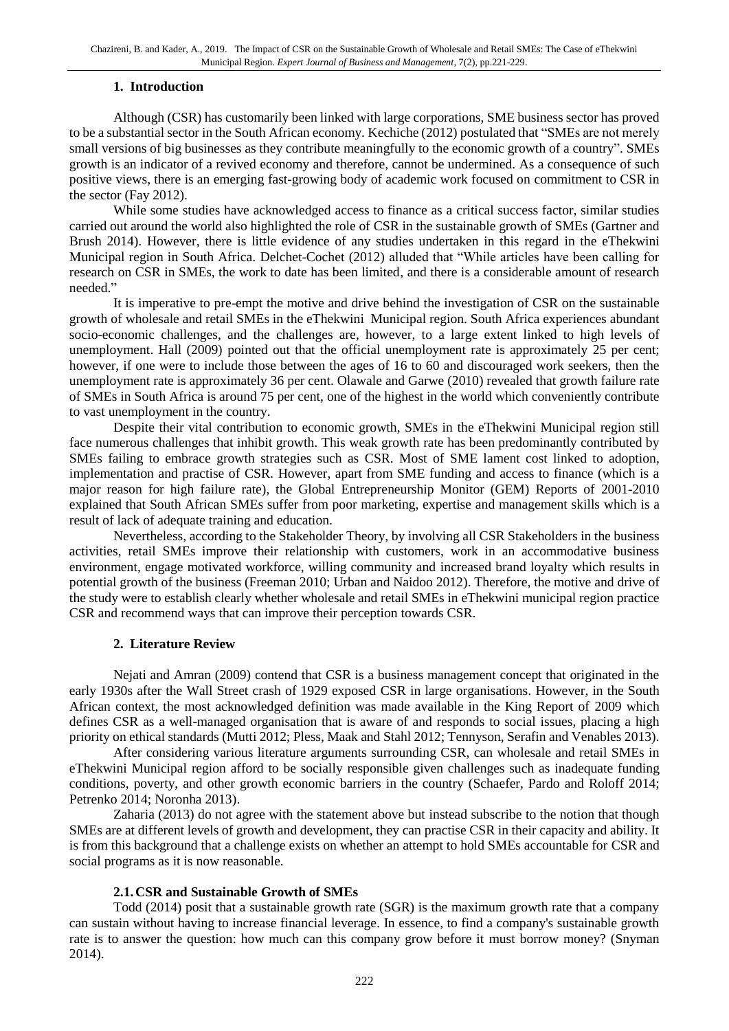#### **1. Introduction**

Although (CSR) has customarily been linked with large corporations, SME business sector has proved to be a substantial sector in the South African economy. Kechiche (2012) postulated that "SMEs are not merely small versions of big businesses as they contribute meaningfully to the economic growth of a country". SMEs growth is an indicator of a revived economy and therefore, cannot be undermined. As a consequence of such positive views, there is an emerging fast-growing body of academic work focused on commitment to CSR in the sector (Fay 2012).

While some studies have acknowledged access to finance as a critical success factor, similar studies carried out around the world also highlighted the role of CSR in the sustainable growth of SMEs (Gartner and Brush 2014). However, there is little evidence of any studies undertaken in this regard in the eThekwini Municipal region in South Africa. Delchet-Cochet (2012) alluded that "While articles have been calling for research on CSR in SMEs, the work to date has been limited, and there is a considerable amount of research needed."

It is imperative to pre-empt the motive and drive behind the investigation of CSR on the sustainable growth of wholesale and retail SMEs in the eThekwini Municipal region. South Africa experiences abundant socio-economic challenges, and the challenges are, however, to a large extent linked to high levels of unemployment. Hall (2009) pointed out that the official unemployment rate is approximately 25 per cent; however, if one were to include those between the ages of 16 to 60 and discouraged work seekers, then the unemployment rate is approximately 36 per cent. Olawale and Garwe (2010) revealed that growth failure rate of SMEs in South Africa is around 75 per cent, one of the highest in the world which conveniently contribute to vast unemployment in the country.

Despite their vital contribution to economic growth, SMEs in the eThekwini Municipal region still face numerous challenges that inhibit growth. This weak growth rate has been predominantly contributed by SMEs failing to embrace growth strategies such as CSR. Most of SME lament cost linked to adoption, implementation and practise of CSR. However, apart from SME funding and access to finance (which is a major reason for high failure rate), the Global Entrepreneurship Monitor (GEM) Reports of 2001-2010 explained that South African SMEs suffer from poor marketing, expertise and management skills which is a result of lack of adequate training and education.

Nevertheless, according to the Stakeholder Theory, by involving all CSR Stakeholders in the business activities, retail SMEs improve their relationship with customers, work in an accommodative business environment, engage motivated workforce, willing community and increased brand loyalty which results in potential growth of the business (Freeman 2010; Urban and Naidoo 2012). Therefore, the motive and drive of the study were to establish clearly whether wholesale and retail SMEs in eThekwini municipal region practice CSR and recommend ways that can improve their perception towards CSR.

## **2. Literature Review**

Nejati and Amran (2009) contend that CSR is a business management concept that originated in the early 1930s after the Wall Street crash of 1929 exposed CSR in large organisations. However, in the South African context, the most acknowledged definition was made available in the King Report of 2009 which defines CSR as a well-managed organisation that is aware of and responds to social issues, placing a high priority on ethical standards (Mutti 2012; Pless, Maak and Stahl 2012; Tennyson, Serafin and Venables 2013).

After considering various literature arguments surrounding CSR, can wholesale and retail SMEs in eThekwini Municipal region afford to be socially responsible given challenges such as inadequate funding conditions, poverty, and other growth economic barriers in the country (Schaefer, Pardo and Roloff 2014; Petrenko 2014; Noronha 2013).

Zaharia (2013) do not agree with the statement above but instead subscribe to the notion that though SMEs are at different levels of growth and development, they can practise CSR in their capacity and ability. It is from this background that a challenge exists on whether an attempt to hold SMEs accountable for CSR and social programs as it is now reasonable.

## **2.1.CSR and Sustainable Growth of SMEs**

Todd (2014) posit that a sustainable growth rate (SGR) is the maximum growth rate that a company can sustain without having to increase financial leverage. In essence, to find a company's sustainable growth rate is to answer the question: how much can this company grow before it must borrow money? (Snyman 2014).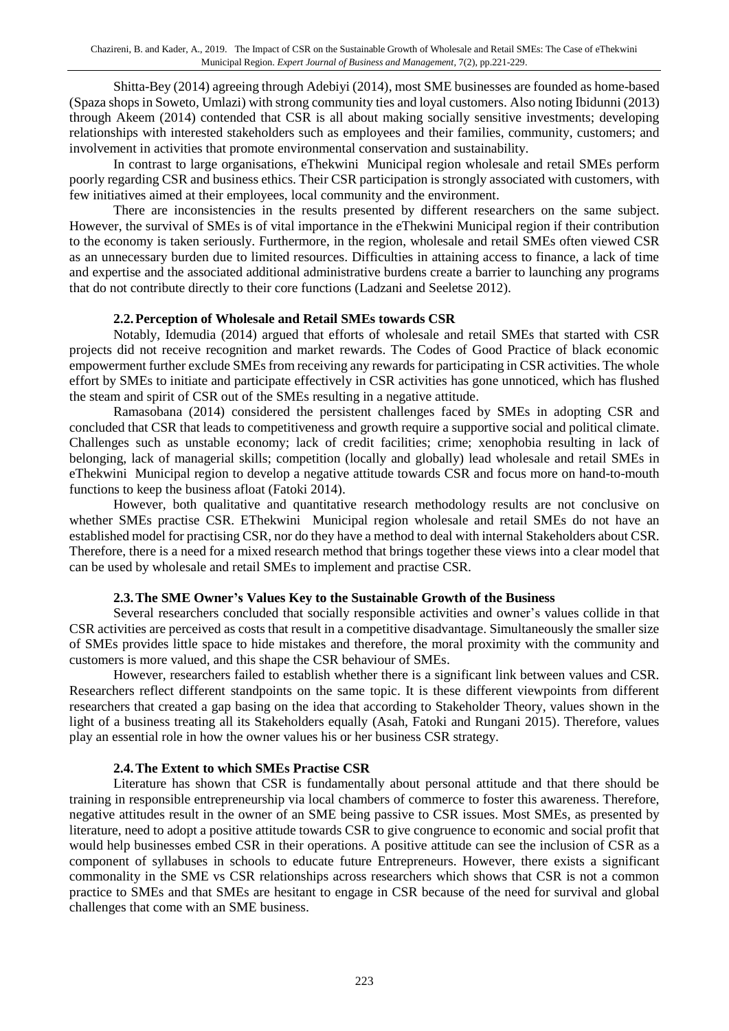Shitta-Bey (2014) agreeing through Adebiyi (2014), most SME businesses are founded as home-based (Spaza shops in Soweto, Umlazi) with strong community ties and loyal customers. Also noting Ibidunni (2013) through Akeem (2014) contended that CSR is all about making socially sensitive investments; developing relationships with interested stakeholders such as employees and their families, community, customers; and involvement in activities that promote environmental conservation and sustainability.

In contrast to large organisations, eThekwini Municipal region wholesale and retail SMEs perform poorly regarding CSR and business ethics. Their CSR participation is strongly associated with customers, with few initiatives aimed at their employees, local community and the environment.

There are inconsistencies in the results presented by different researchers on the same subject. However, the survival of SMEs is of vital importance in the eThekwini Municipal region if their contribution to the economy is taken seriously. Furthermore, in the region, wholesale and retail SMEs often viewed CSR as an unnecessary burden due to limited resources. Difficulties in attaining access to finance, a lack of time and expertise and the associated additional administrative burdens create a barrier to launching any programs that do not contribute directly to their core functions (Ladzani and Seeletse 2012).

#### **2.2.Perception of Wholesale and Retail SMEs towards CSR**

Notably, Idemudia (2014) argued that efforts of wholesale and retail SMEs that started with CSR projects did not receive recognition and market rewards. The Codes of Good Practice of black economic empowerment further exclude SMEs from receiving any rewards for participating in CSR activities. The whole effort by SMEs to initiate and participate effectively in CSR activities has gone unnoticed, which has flushed the steam and spirit of CSR out of the SMEs resulting in a negative attitude.

Ramasobana (2014) considered the persistent challenges faced by SMEs in adopting CSR and concluded that CSR that leads to competitiveness and growth require a supportive social and political climate. Challenges such as unstable economy; lack of credit facilities; crime; xenophobia resulting in lack of belonging, lack of managerial skills; competition (locally and globally) lead wholesale and retail SMEs in eThekwini Municipal region to develop a negative attitude towards CSR and focus more on hand-to-mouth functions to keep the business afloat (Fatoki 2014).

However, both qualitative and quantitative research methodology results are not conclusive on whether SMEs practise CSR. EThekwini Municipal region wholesale and retail SMEs do not have an established model for practising CSR, nor do they have a method to deal with internal Stakeholders about CSR. Therefore, there is a need for a mixed research method that brings together these views into a clear model that can be used by wholesale and retail SMEs to implement and practise CSR.

#### **2.3.The SME Owner's Values Key to the Sustainable Growth of the Business**

Several researchers concluded that socially responsible activities and owner's values collide in that CSR activities are perceived as costs that result in a competitive disadvantage. Simultaneously the smaller size of SMEs provides little space to hide mistakes and therefore, the moral proximity with the community and customers is more valued, and this shape the CSR behaviour of SMEs.

However, researchers failed to establish whether there is a significant link between values and CSR. Researchers reflect different standpoints on the same topic. It is these different viewpoints from different researchers that created a gap basing on the idea that according to Stakeholder Theory, values shown in the light of a business treating all its Stakeholders equally (Asah, Fatoki and Rungani 2015). Therefore, values play an essential role in how the owner values his or her business CSR strategy.

#### **2.4.The Extent to which SMEs Practise CSR**

Literature has shown that CSR is fundamentally about personal attitude and that there should be training in responsible entrepreneurship via local chambers of commerce to foster this awareness. Therefore, negative attitudes result in the owner of an SME being passive to CSR issues. Most SMEs, as presented by literature, need to adopt a positive attitude towards CSR to give congruence to economic and social profit that would help businesses embed CSR in their operations. A positive attitude can see the inclusion of CSR as a component of syllabuses in schools to educate future Entrepreneurs. However, there exists a significant commonality in the SME vs CSR relationships across researchers which shows that CSR is not a common practice to SMEs and that SMEs are hesitant to engage in CSR because of the need for survival and global challenges that come with an SME business.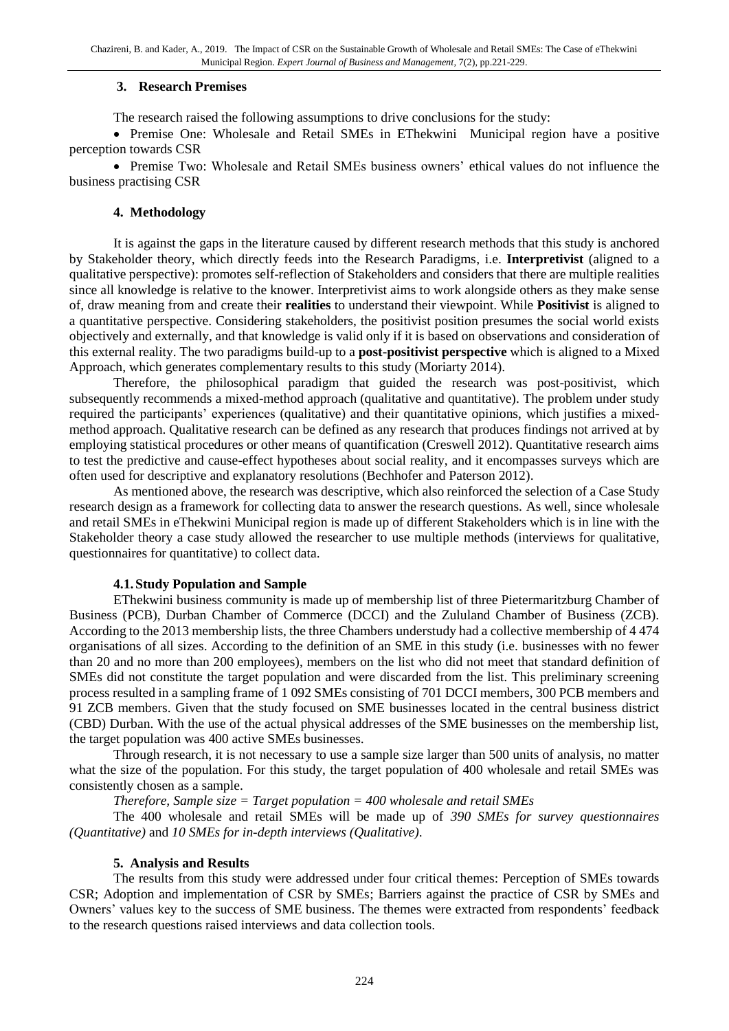#### **3. Research Premises**

The research raised the following assumptions to drive conclusions for the study:

• Premise One: Wholesale and Retail SMEs in EThekwini Municipal region have a positive perception towards CSR

• Premise Two: Wholesale and Retail SMEs business owners' ethical values do not influence the business practising CSR

#### **4. Methodology**

It is against the gaps in the literature caused by different research methods that this study is anchored by Stakeholder theory, which directly feeds into the Research Paradigms, i.e. **Interpretivist** (aligned to a qualitative perspective): promotes self-reflection of Stakeholders and considers that there are multiple realities since all knowledge is relative to the knower. Interpretivist aims to work alongside others as they make sense of, draw meaning from and create their **realities** to understand their viewpoint. While **Positivist** is aligned to a quantitative perspective. Considering stakeholders, the positivist position presumes the social world exists objectively and externally, and that knowledge is valid only if it is based on observations and consideration of this external reality. The two paradigms build-up to a **post-positivist perspective** which is aligned to a Mixed Approach, which generates complementary results to this study (Moriarty 2014).

Therefore, the philosophical paradigm that guided the research was post-positivist, which subsequently recommends a mixed-method approach (qualitative and quantitative). The problem under study required the participants' experiences (qualitative) and their quantitative opinions, which justifies a mixedmethod approach. Qualitative research can be defined as any research that produces findings not arrived at by employing statistical procedures or other means of quantification (Creswell 2012). Quantitative research aims to test the predictive and cause-effect hypotheses about social reality, and it encompasses surveys which are often used for descriptive and explanatory resolutions (Bechhofer and Paterson 2012).

As mentioned above, the research was descriptive, which also reinforced the selection of a Case Study research design as a framework for collecting data to answer the research questions. As well, since wholesale and retail SMEs in eThekwini Municipal region is made up of different Stakeholders which is in line with the Stakeholder theory a case study allowed the researcher to use multiple methods (interviews for qualitative, questionnaires for quantitative) to collect data.

## **4.1.Study Population and Sample**

EThekwini business community is made up of membership list of three Pietermaritzburg Chamber of Business (PCB), Durban Chamber of Commerce (DCCI) and the Zululand Chamber of Business (ZCB). According to the 2013 membership lists, the three Chambers understudy had a collective membership of 4 474 organisations of all sizes. According to the definition of an SME in this study (i.e. businesses with no fewer than 20 and no more than 200 employees), members on the list who did not meet that standard definition of SMEs did not constitute the target population and were discarded from the list. This preliminary screening process resulted in a sampling frame of 1 092 SMEs consisting of 701 DCCI members, 300 PCB members and 91 ZCB members. Given that the study focused on SME businesses located in the central business district (CBD) Durban. With the use of the actual physical addresses of the SME businesses on the membership list, the target population was 400 active SMEs businesses.

Through research, it is not necessary to use a sample size larger than 500 units of analysis, no matter what the size of the population. For this study, the target population of 400 wholesale and retail SMEs was consistently chosen as a sample.

*Therefore, Sample size = Target population = 400 wholesale and retail SMEs* 

The 400 wholesale and retail SMEs will be made up of *390 SMEs for survey questionnaires (Quantitative)* and *10 SMEs for in-depth interviews (Qualitative)*.

#### **5. Analysis and Results**

The results from this study were addressed under four critical themes: Perception of SMEs towards CSR; Adoption and implementation of CSR by SMEs; Barriers against the practice of CSR by SMEs and Owners' values key to the success of SME business. The themes were extracted from respondents' feedback to the research questions raised interviews and data collection tools.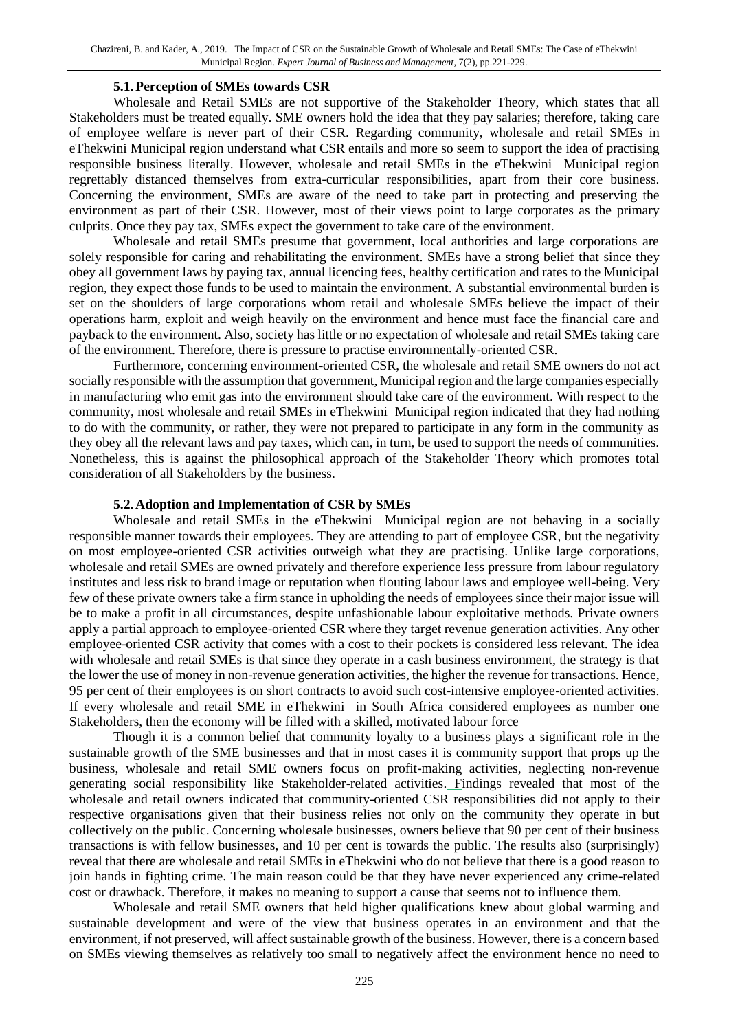#### **5.1.Perception of SMEs towards CSR**

Wholesale and Retail SMEs are not supportive of the Stakeholder Theory, which states that all Stakeholders must be treated equally. SME owners hold the idea that they pay salaries; therefore, taking care of employee welfare is never part of their CSR. Regarding community, wholesale and retail SMEs in eThekwini Municipal region understand what CSR entails and more so seem to support the idea of practising responsible business literally. However, wholesale and retail SMEs in the eThekwini Municipal region regrettably distanced themselves from extra-curricular responsibilities, apart from their core business. Concerning the environment, SMEs are aware of the need to take part in protecting and preserving the environment as part of their CSR. However, most of their views point to large corporates as the primary culprits. Once they pay tax, SMEs expect the government to take care of the environment.

Wholesale and retail SMEs presume that government, local authorities and large corporations are solely responsible for caring and rehabilitating the environment. SMEs have a strong belief that since they obey all government laws by paying tax, annual licencing fees, healthy certification and rates to the Municipal region, they expect those funds to be used to maintain the environment. A substantial environmental burden is set on the shoulders of large corporations whom retail and wholesale SMEs believe the impact of their operations harm, exploit and weigh heavily on the environment and hence must face the financial care and payback to the environment. Also, society has little or no expectation of wholesale and retail SMEs taking care of the environment. Therefore, there is pressure to practise environmentally-oriented CSR.

Furthermore, concerning environment-oriented CSR, the wholesale and retail SME owners do not act socially responsible with the assumption that government, Municipal region and the large companies especially in manufacturing who emit gas into the environment should take care of the environment. With respect to the community, most wholesale and retail SMEs in eThekwini Municipal region indicated that they had nothing to do with the community, or rather, they were not prepared to participate in any form in the community as they obey all the relevant laws and pay taxes, which can, in turn, be used to support the needs of communities. Nonetheless, this is against the philosophical approach of the Stakeholder Theory which promotes total consideration of all Stakeholders by the business.

#### **5.2.Adoption and Implementation of CSR by SMEs**

Wholesale and retail SMEs in the eThekwini Municipal region are not behaving in a socially responsible manner towards their employees. They are attending to part of employee CSR, but the negativity on most employee-oriented CSR activities outweigh what they are practising. Unlike large corporations, wholesale and retail SMEs are owned privately and therefore experience less pressure from labour regulatory institutes and less risk to brand image or reputation when flouting labour laws and employee well-being. Very few of these private owners take a firm stance in upholding the needs of employees since their major issue will be to make a profit in all circumstances, despite unfashionable labour exploitative methods. Private owners apply a partial approach to employee-oriented CSR where they target revenue generation activities. Any other employee-oriented CSR activity that comes with a cost to their pockets is considered less relevant. The idea with wholesale and retail SMEs is that since they operate in a cash business environment, the strategy is that the lower the use of money in non-revenue generation activities, the higher the revenue for transactions. Hence, 95 per cent of their employees is on short contracts to avoid such cost-intensive employee-oriented activities. If every wholesale and retail SME in eThekwini in South Africa considered employees as number one Stakeholders, then the economy will be filled with a skilled, motivated labour force

Though it is a common belief that community loyalty to a business plays a significant role in the sustainable growth of the SME businesses and that in most cases it is community support that props up the business, wholesale and retail SME owners focus on profit-making activities, neglecting non-revenue generating social responsibility like Stakeholder-related activities. Findings revealed that most of the wholesale and retail owners indicated that community-oriented CSR responsibilities did not apply to their respective organisations given that their business relies not only on the community they operate in but collectively on the public. Concerning wholesale businesses, owners believe that 90 per cent of their business transactions is with fellow businesses, and 10 per cent is towards the public. The results also (surprisingly) reveal that there are wholesale and retail SMEs in eThekwini who do not believe that there is a good reason to join hands in fighting crime. The main reason could be that they have never experienced any crime-related cost or drawback. Therefore, it makes no meaning to support a cause that seems not to influence them.

Wholesale and retail SME owners that held higher qualifications knew about global warming and sustainable development and were of the view that business operates in an environment and that the environment, if not preserved, will affect sustainable growth of the business. However, there is a concern based on SMEs viewing themselves as relatively too small to negatively affect the environment hence no need to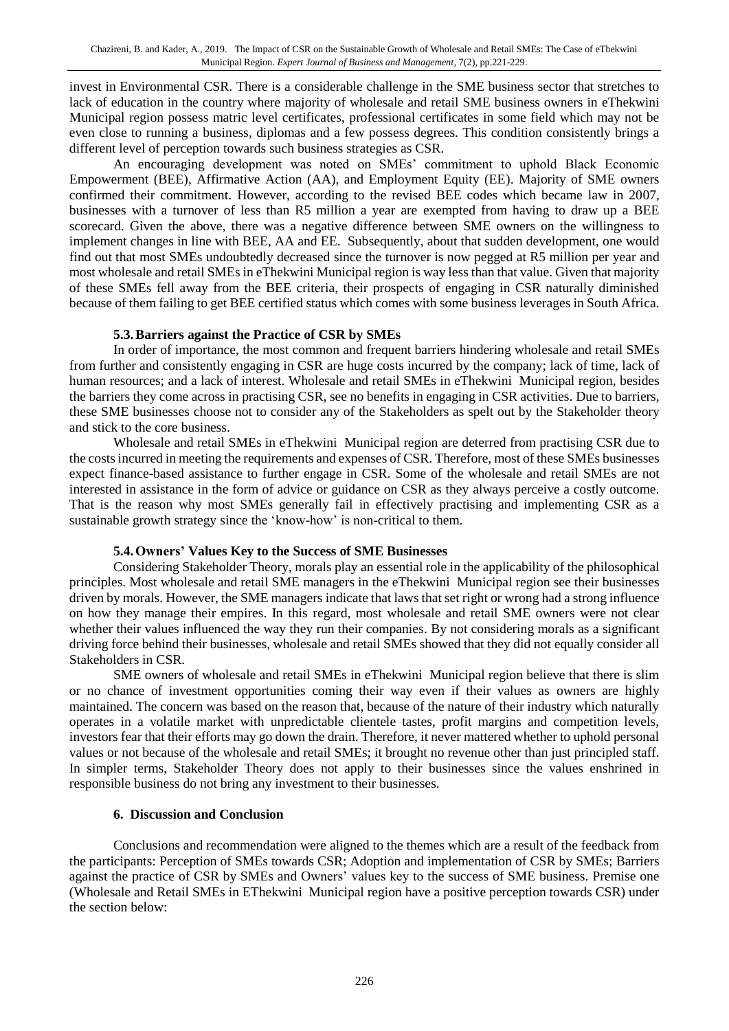invest in Environmental CSR. There is a considerable challenge in the SME business sector that stretches to lack of education in the country where majority of wholesale and retail SME business owners in eThekwini Municipal region possess matric level certificates, professional certificates in some field which may not be even close to running a business, diplomas and a few possess degrees. This condition consistently brings a different level of perception towards such business strategies as CSR.

An encouraging development was noted on SMEs' commitment to uphold Black Economic Empowerment (BEE), Affirmative Action (AA), and Employment Equity (EE). Majority of SME owners confirmed their commitment. However, according to the revised BEE codes which became law in 2007, businesses with a turnover of less than R5 million a year are exempted from having to draw up a BEE scorecard. Given the above, there was a negative difference between SME owners on the willingness to implement changes in line with BEE, AA and EE. Subsequently, about that sudden development, one would find out that most SMEs undoubtedly decreased since the turnover is now pegged at R5 million per year and most wholesale and retail SMEs in eThekwini Municipal region is way less than that value. Given that majority of these SMEs fell away from the BEE criteria, their prospects of engaging in CSR naturally diminished because of them failing to get BEE certified status which comes with some business leverages in South Africa.

#### **5.3.Barriers against the Practice of CSR by SMEs**

In order of importance, the most common and frequent barriers hindering wholesale and retail SMEs from further and consistently engaging in CSR are huge costs incurred by the company; lack of time, lack of human resources; and a lack of interest. Wholesale and retail SMEs in eThekwini Municipal region, besides the barriers they come across in practising CSR, see no benefits in engaging in CSR activities. Due to barriers, these SME businesses choose not to consider any of the Stakeholders as spelt out by the Stakeholder theory and stick to the core business.

Wholesale and retail SMEs in eThekwini Municipal region are deterred from practising CSR due to the costsincurred in meeting the requirements and expenses of CSR. Therefore, most of these SMEs businesses expect finance-based assistance to further engage in CSR. Some of the wholesale and retail SMEs are not interested in assistance in the form of advice or guidance on CSR as they always perceive a costly outcome. That is the reason why most SMEs generally fail in effectively practising and implementing CSR as a sustainable growth strategy since the 'know-how' is non-critical to them.

## **5.4.Owners' Values Key to the Success of SME Businesses**

Considering Stakeholder Theory, morals play an essential role in the applicability of the philosophical principles. Most wholesale and retail SME managers in the eThekwini Municipal region see their businesses driven by morals. However, the SME managers indicate that laws that set right or wrong had a strong influence on how they manage their empires. In this regard, most wholesale and retail SME owners were not clear whether their values influenced the way they run their companies. By not considering morals as a significant driving force behind their businesses, wholesale and retail SMEs showed that they did not equally consider all Stakeholders in CSR.

SME owners of wholesale and retail SMEs in eThekwini Municipal region believe that there is slim or no chance of investment opportunities coming their way even if their values as owners are highly maintained. The concern was based on the reason that, because of the nature of their industry which naturally operates in a volatile market with unpredictable clientele tastes, profit margins and competition levels, investors fear that their efforts may go down the drain. Therefore, it never mattered whether to uphold personal values or not because of the wholesale and retail SMEs; it brought no revenue other than just principled staff. In simpler terms, Stakeholder Theory does not apply to their businesses since the values enshrined in responsible business do not bring any investment to their businesses.

## **6. Discussion and Conclusion**

Conclusions and recommendation were aligned to the themes which are a result of the feedback from the participants: Perception of SMEs towards CSR; Adoption and implementation of CSR by SMEs; Barriers against the practice of CSR by SMEs and Owners' values key to the success of SME business. Premise one (Wholesale and Retail SMEs in EThekwini Municipal region have a positive perception towards CSR) under the section below: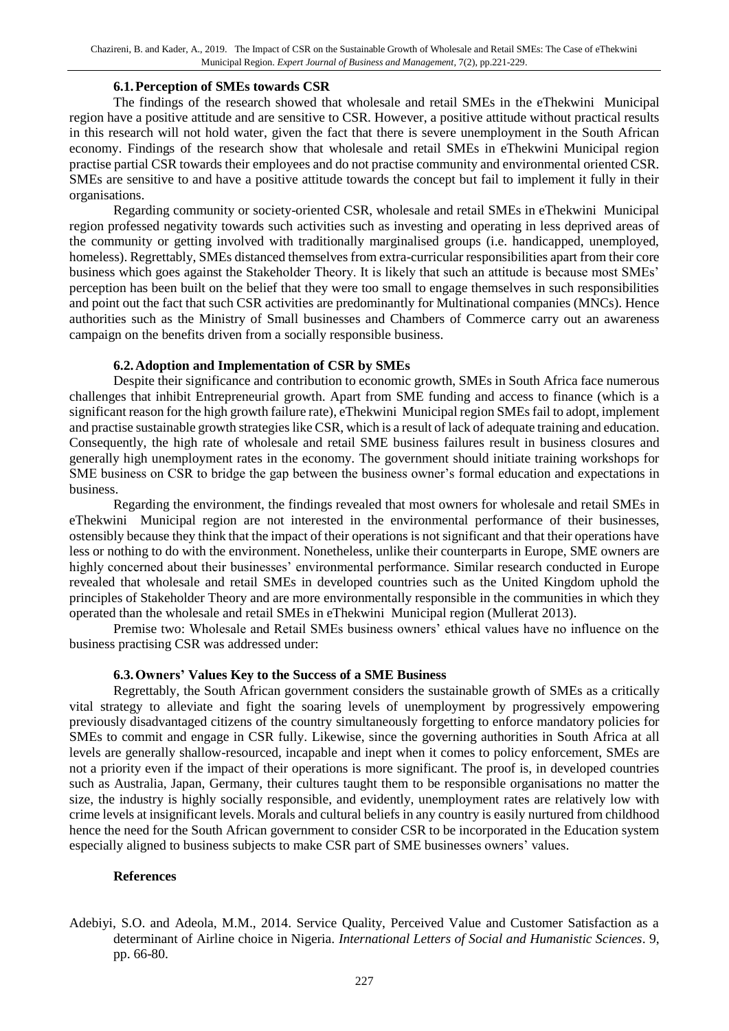#### **6.1.Perception of SMEs towards CSR**

The findings of the research showed that wholesale and retail SMEs in the eThekwini Municipal region have a positive attitude and are sensitive to CSR. However, a positive attitude without practical results in this research will not hold water, given the fact that there is severe unemployment in the South African economy. Findings of the research show that wholesale and retail SMEs in eThekwini Municipal region practise partial CSR towards their employees and do not practise community and environmental oriented CSR. SMEs are sensitive to and have a positive attitude towards the concept but fail to implement it fully in their organisations.

Regarding community or society-oriented CSR, wholesale and retail SMEs in eThekwini Municipal region professed negativity towards such activities such as investing and operating in less deprived areas of the community or getting involved with traditionally marginalised groups (i.e. handicapped, unemployed, homeless). Regrettably, SMEs distanced themselves from extra-curricular responsibilities apart from their core business which goes against the Stakeholder Theory. It is likely that such an attitude is because most SMEs' perception has been built on the belief that they were too small to engage themselves in such responsibilities and point out the fact that such CSR activities are predominantly for Multinational companies (MNCs). Hence authorities such as the Ministry of Small businesses and Chambers of Commerce carry out an awareness campaign on the benefits driven from a socially responsible business.

#### **6.2.Adoption and Implementation of CSR by SMEs**

Despite their significance and contribution to economic growth, SMEs in South Africa face numerous challenges that inhibit Entrepreneurial growth. Apart from SME funding and access to finance (which is a significant reason for the high growth failure rate), eThekwini Municipal region SMEs fail to adopt, implement and practise sustainable growth strategies like CSR, which is a result of lack of adequate training and education. Consequently, the high rate of wholesale and retail SME business failures result in business closures and generally high unemployment rates in the economy. The government should initiate training workshops for SME business on CSR to bridge the gap between the business owner's formal education and expectations in business.

Regarding the environment, the findings revealed that most owners for wholesale and retail SMEs in eThekwini Municipal region are not interested in the environmental performance of their businesses, ostensibly because they think that the impact of their operations is not significant and that their operations have less or nothing to do with the environment. Nonetheless, unlike their counterparts in Europe, SME owners are highly concerned about their businesses' environmental performance. Similar research conducted in Europe revealed that wholesale and retail SMEs in developed countries such as the United Kingdom uphold the principles of Stakeholder Theory and are more environmentally responsible in the communities in which they operated than the wholesale and retail SMEs in eThekwini Municipal region (Mullerat 2013).

Premise two: Wholesale and Retail SMEs business owners' ethical values have no influence on the business practising CSR was addressed under:

#### **6.3.Owners' Values Key to the Success of a SME Business**

Regrettably, the South African government considers the sustainable growth of SMEs as a critically vital strategy to alleviate and fight the soaring levels of unemployment by progressively empowering previously disadvantaged citizens of the country simultaneously forgetting to enforce mandatory policies for SMEs to commit and engage in CSR fully. Likewise, since the governing authorities in South Africa at all levels are generally shallow-resourced, incapable and inept when it comes to policy enforcement, SMEs are not a priority even if the impact of their operations is more significant. The proof is, in developed countries such as Australia, Japan, Germany, their cultures taught them to be responsible organisations no matter the size, the industry is highly socially responsible, and evidently, unemployment rates are relatively low with crime levels at insignificant levels. Morals and cultural beliefs in any country is easily nurtured from childhood hence the need for the South African government to consider CSR to be incorporated in the Education system especially aligned to business subjects to make CSR part of SME businesses owners' values.

#### **References**

Adebiyi, S.O. and Adeola, M.M., 2014. Service Quality, Perceived Value and Customer Satisfaction as a determinant of Airline choice in Nigeria. *International Letters of Social and Humanistic Sciences*. 9, pp. 66-80.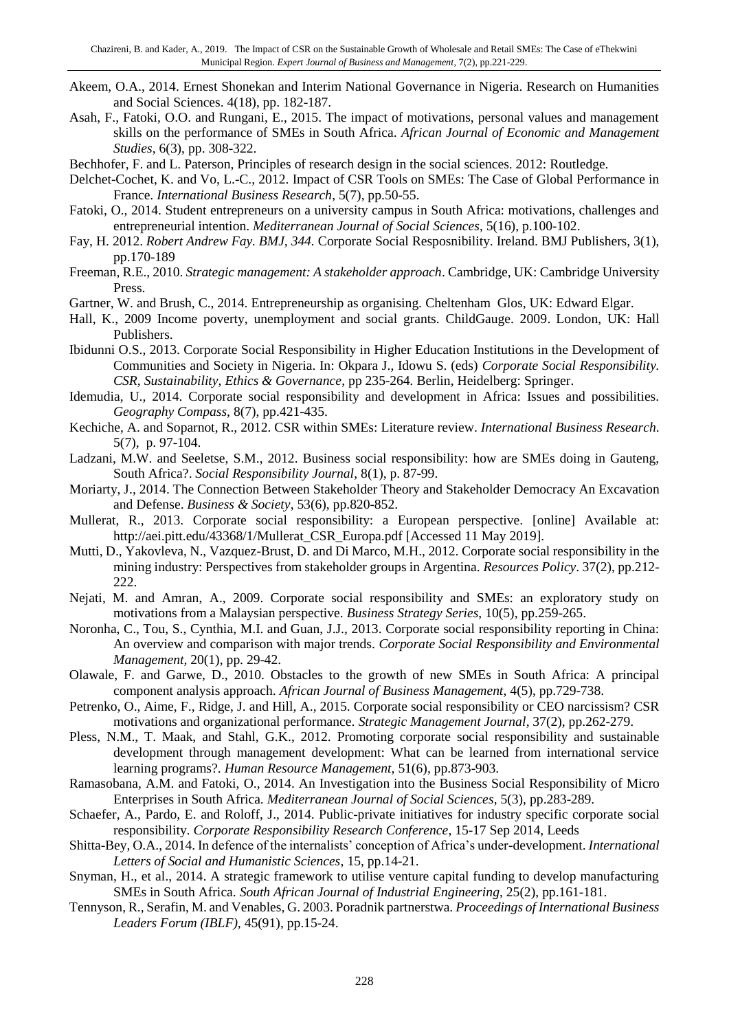- Akeem, O.A., 2014. Ernest Shonekan and Interim National Governance in Nigeria. Research on Humanities and Social Sciences. 4(18), pp. 182-187.
- Asah, F., Fatoki, O.O. and Rungani, E., 2015. The impact of motivations, personal values and management skills on the performance of SMEs in South Africa. *African Journal of Economic and Management Studies*, 6(3), pp. 308-322.
- Bechhofer, F. and L. Paterson, Principles of research design in the social sciences. 2012: Routledge.
- Delchet-Cochet, K. and Vo, L.-C., 2012. Impact of CSR Tools on SMEs: The Case of Global Performance in France. *International Business Research*, 5(7), pp.50-55.
- Fatoki, O., 2014. Student entrepreneurs on a university campus in South Africa: motivations, challenges and entrepreneurial intention. *Mediterranean Journal of Social Sciences*, 5(16), p.100-102.
- Fay, H. 2012. *Robert Andrew Fay. BMJ, 344.* Corporate Social Resposnibility. Ireland. BMJ Publishers, 3(1), pp.170-189
- Freeman, R.E., 2010. *Strategic management: A stakeholder approach*. Cambridge, UK: Cambridge University Press.
- Gartner, W. and Brush, C., 2014. Entrepreneurship as organising. Cheltenham Glos, UK: Edward Elgar.
- Hall, K., 2009 Income poverty, unemployment and social grants. ChildGauge. 2009. London, UK: Hall Publishers.
- Ibidunni O.S., 2013. Corporate Social Responsibility in Higher Education Institutions in the Development of Communities and Society in Nigeria. In: Okpara J., Idowu S. (eds) *Corporate Social Responsibility. CSR, Sustainability, Ethics & Governance*, pp 235-264*.* Berlin, Heidelberg: Springer.
- Idemudia, U., 2014. Corporate social responsibility and development in Africa: Issues and possibilities. *Geography Compass*, 8(7), pp.421-435.
- Kechiche, A. and Soparnot, R., 2012. CSR within SMEs: Literature review. *International Business Research*. 5(7), p. 97-104.
- Ladzani, M.W. and Seeletse, S.M., 2012. Business social responsibility: how are SMEs doing in Gauteng, South Africa?. *Social Responsibility Journal*, 8(1), p. 87-99.
- Moriarty, J., 2014. The Connection Between Stakeholder Theory and Stakeholder Democracy An Excavation and Defense. *Business & Society*, 53(6), pp.820-852.
- Mullerat, R., 2013. Corporate social responsibility: a European perspective. [online] Available at: http://aei.pitt.edu/43368/1/Mullerat\_CSR\_Europa.pdf [Accessed 11 May 2019].
- Mutti, D., Yakovleva, N., Vazquez-Brust, D. and Di Marco, M.H., 2012. Corporate social responsibility in the mining industry: Perspectives from stakeholder groups in Argentina. *Resources Policy*. 37(2), pp.212- 222.
- Nejati, M. and Amran, A., 2009. Corporate social responsibility and SMEs: an exploratory study on motivations from a Malaysian perspective. *Business Strategy Series*, 10(5), pp.259-265.
- Noronha, C., Tou, S., Cynthia, M.I. and Guan, J.J., 2013. Corporate social responsibility reporting in China: An overview and comparison with major trends. *Corporate Social Responsibility and Environmental Management,* 20(1), pp. 29-42.
- Olawale, F. and Garwe, D., 2010. Obstacles to the growth of new SMEs in South Africa: A principal component analysis approach. *African Journal of Business Management*, 4(5), pp.729-738.
- Petrenko, O., Aime, F., Ridge, J. and Hill, A., 2015. Corporate social responsibility or CEO narcissism? CSR motivations and organizational performance. *Strategic Management Journal*, 37(2), pp.262-279.
- Pless, N.M., T. Maak, and Stahl, G.K., 2012. Promoting corporate social responsibility and sustainable development through management development: What can be learned from international service learning programs?. *Human Resource Management,* 51(6), pp.873-903.
- Ramasobana, A.M. and Fatoki, O., 2014. An Investigation into the Business Social Responsibility of Micro Enterprises in South Africa. *Mediterranean Journal of Social Sciences*, 5(3), pp.283-289.
- Schaefer, A., Pardo, E. and Roloff, J., 2014. Public-private initiatives for industry specific corporate social responsibility. *Corporate Responsibility Research Conference*, 15-17 Sep 2014, Leeds
- Shitta-Bey, O.A., 2014. In defence of the internalists' conception of Africa's under-development. *International Letters of Social and Humanistic Sciences*, 15, pp.14-21.
- Snyman, H., et al., 2014. A strategic framework to utilise venture capital funding to develop manufacturing SMEs in South Africa. *South African Journal of Industrial Engineering*, 25(2), pp.161-181.
- Tennyson, R., Serafin, M. and Venables, G. 2003. Poradnik partnerstwa*. Proceedings of International Business Leaders Forum (IBLF),* 45(91), pp.15-24.